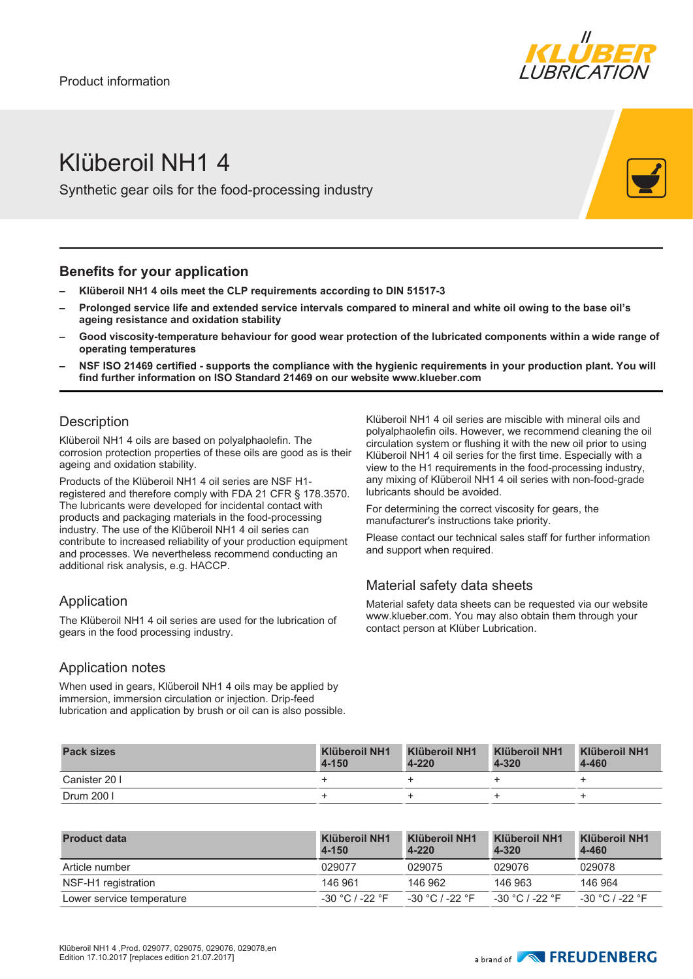

# Klüberoil NH1 4

Synthetic gear oils for the food-processing industry

#### **Benefits for your application**

- **– Klüberoil NH1 4 oils meet the CLP requirements according to DIN 51517-3**
- **– Prolonged service life and extended service intervals compared to mineral and white oil owing to the base oil's ageing resistance and oxidation stability**
- **– Good viscosity-temperature behaviour for good wear protection of the lubricated components within a wide range of operating temperatures**
- **– NSF ISO 21469 certified supports the compliance with the hygienic requirements in your production plant. You will find further information on ISO Standard 21469 on our website www.klueber.com**

#### **Description**

Klüberoil NH1 4 oils are based on polyalphaolefin. The corrosion protection properties of these oils are good as is their ageing and oxidation stability.

Products of the Klüberoil NH1 4 oil series are NSF H1 registered and therefore comply with FDA 21 CFR § 178.3570. The lubricants were developed for incidental contact with products and packaging materials in the food-processing industry. The use of the Klüberoil NH1 4 oil series can contribute to increased reliability of your production equipment and processes. We nevertheless recommend conducting an additional risk analysis, e.g. HACCP.

#### Application

The Klüberoil NH1 4 oil series are used for the lubrication of gears in the food processing industry.

#### Application notes

When used in gears, Klüberoil NH1 4 oils may be applied by immersion, immersion circulation or injection. Drip-feed lubrication and application by brush or oil can is also possible. Klüberoil NH1 4 oil series are miscible with mineral oils and polyalphaolefin oils. However, we recommend cleaning the oil circulation system or flushing it with the new oil prior to using Klüberoil NH1 4 oil series for the first time. Especially with a view to the H1 requirements in the food-processing industry, any mixing of Klüberoil NH1 4 oil series with non-food-grade lubricants should be avoided.

For determining the correct viscosity for gears, the manufacturer's instructions take priority.

Please contact our technical sales staff for further information and support when required.

### Material safety data sheets

Material safety data sheets can be requested via our website www.klueber.com. You may also obtain them through your contact person at Klüber Lubrication.

| <b>Pack sizes</b> | <b>Klüberoil NH1</b><br>$4 - 150$ | Klüberoil NH1<br>$4 - 220$ | Klüberoil NH1<br>$4 - 320$ | <b>Klüberoil NH1</b><br>4-460 |
|-------------------|-----------------------------------|----------------------------|----------------------------|-------------------------------|
| Canister 20 I     |                                   |                            |                            |                               |
| Drum 200 l        |                                   |                            |                            |                               |

| <b>Product data</b>       | Klüberoil NH1<br>4-150 | Klüberoil NH1<br>4-220 | <b>Klüberoil NH1</b><br>4-320 | Klüberoil NH1<br>4-460 |
|---------------------------|------------------------|------------------------|-------------------------------|------------------------|
| Article number            | 029077                 | 029075                 | 029076                        | 029078                 |
| NSF-H1 registration       | 146 961                | 146 962                | 146 963                       | 146 964                |
| Lower service temperature | $-30$ °C / -22 °F      | -30 °C / -22 °F        | $-30 °C$ / $-22 °F$           | -30 °C / -22 °F        |